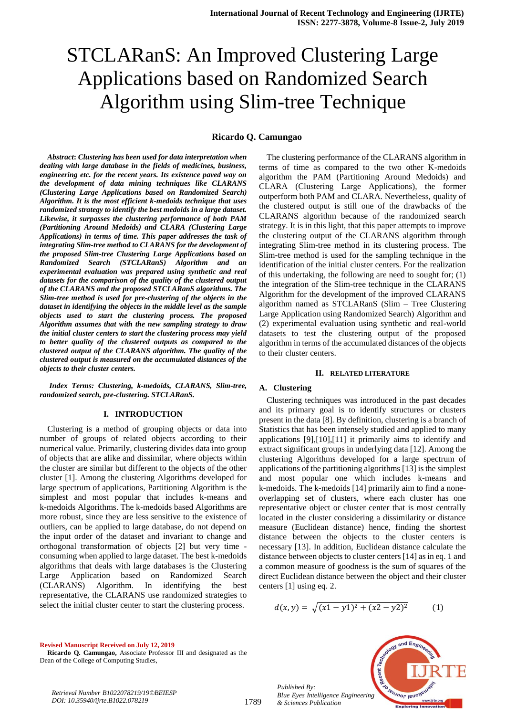# STCLARanS: An Improved Clustering Large Applications based on Randomized Search Algorithm using Slim-tree Technique

# **Ricardo Q. Camungao**

*Abstract***:** *Clustering has been used for data interpretation when dealing with large database in the fields of medicines, business, engineering etc. for the recent years. Its existence paved way on the development of data mining techniques like CLARANS (Clustering Large Applications based on Randomized Search) Algorithm. It is the most efficient k-medoids technique that uses randomized strategy to identify the best medoids in a large dataset. Likewise, it surpasses the clustering performance of both PAM (Partitioning Around Medoids) and CLARA (Clustering Large Applications) in terms of time. This paper addresses the task of integrating Slim-tree method to CLARANS for the development of the proposed Slim-tree Clustering Large Applications based on Randomized Search (STCLARanS) Algorithm and an experimental evaluation was prepared using synthetic and real datasets for the comparison of the quality of the clustered output of the CLARANS and the proposed STCLARanS algorithms. The Slim-tree method is used for pre-clustering of the objects in the dataset in identifying the objects in the middle level as the sample objects used to start the clustering process. The proposed Algorithm assumes that with the new sampling strategy to draw the initial cluster centers to start the clustering process may yield to better quality of the clustered outputs as compared to the clustered output of the CLARANS algorithm. The quality of the clustered output is measured on the accumulated distances of the objects to their cluster centers.*

*Index Terms: Clustering, k-medoids, CLARANS, Slim-tree, randomized search, pre-clustering. STCLARanS.*

#### **I. INTRODUCTION**

Clustering is a method of grouping objects or data into number of groups of related objects according to their numerical value. Primarily, clustering divides data into group of objects that are alike and dissimilar, where objects within the cluster are similar but different to the objects of the other cluster [1]. Among the clustering Algorithms developed for large spectrum of applications, Partitioning Algorithm is the simplest and most popular that includes k-means and k-medoids Algorithms. The k-medoids based Algorithms are more robust, since they are less sensitive to the existence of outliers, can be applied to large database, do not depend on the input order of the dataset and invariant to change and orthogonal transformation of objects [2] but very time consuming when applied to large dataset. The best k-medoids algorithms that deals with large databases is the Clustering Large Application based on Randomized Search (CLARANS) Algorithm. In identifying the best representative, the CLARANS use randomized strategies to select the initial cluster center to start the clustering process.

The clustering performance of the CLARANS algorithm in terms of time as compared to the two other K-medoids algorithm the PAM (Partitioning Around Medoids) and CLARA (Clustering Large Applications), the former outperform both PAM and CLARA. Nevertheless, quality of the clustered output is still one of the drawbacks of the CLARANS algorithm because of the randomized search strategy. It is in this light, that this paper attempts to improve the clustering output of the CLARANS algorithm through integrating Slim-tree method in its clustering process. The Slim-tree method is used for the sampling technique in the identification of the initial cluster centers. For the realization of this undertaking, the following are need to sought for; (1) the integration of the Slim-tree technique in the CLARANS Algorithm for the development of the improved CLARANS algorithm named as STCLARanS (Slim – Tree Clustering Large Application using Randomized Search) Algorithm and (2) experimental evaluation using synthetic and real-world datasets to test the clustering output of the proposed algorithm in terms of the accumulated distances of the objects to their cluster centers.

#### **II. RELATED LITERATURE**

#### **A. Clustering**

Clustering techniques was introduced in the past decades and its primary goal is to identify structures or clusters present in the data [8]. By definition, clustering is a branch of Statistics that has been intensely studied and applied to many applications [9],[10],[11] it primarily aims to identify and extract significant groups in underlying data [12]. Among the clustering Algorithms developed for a large spectrum of applications of the partitioning algorithms [13] is the simplest and most popular one which includes k-means and k-medoids. The k-medoids [14] primarily aim to find a noneoverlapping set of clusters, where each cluster has one representative object or cluster center that is most centrally located in the cluster considering a dissimilarity or distance measure (Euclidean distance) hence, finding the shortest distance between the objects to the cluster centers is necessary [13]. In addition, Euclidean distance calculate the distance between objects to cluster centers [14] as in eq. 1 and a common measure of goodness is the sum of squares of the direct Euclidean distance between the object and their cluster centers [1] using eq. 2.

$$
d(x,y) = \sqrt{(x1 - y1)^2 + (x2 - y2)^2} \tag{1}
$$

**Revised Manuscript Received on July 12, 2019**

**Ricardo Q. Camungao,** Associate Professor III and designated as the Dean of the College of Computing Studies,

*Retrieval Number B1022078219/19©BEIESP DOI: 10.35940/ijrte.B1022.078219*



*Published By:* **Jenanor lend** *Blue Eyes Intelligence Engineering & Sciences Publication* 

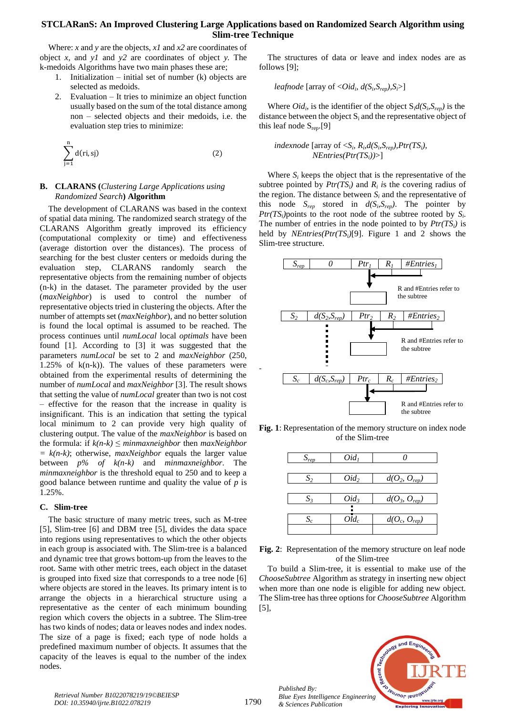# **STCLARanS: An Improved Clustering Large Applications based on Randomized Search Algorithm using Slim-tree Technique**

Where: *x* and *y* are the objects, *x1* and *x2* are coordinates of object *x,* and *y1* and *y2* are coordinates of object *y.* The k-medoids Algorithms have two main phases these are;

- 1. Initialization initial set of number (k) objects are selected as medoids.
- 2. Evaluation It tries to minimize an object function usually based on the sum of the total distance among non – selected objects and their medoids, i.e. the evaluation step tries to minimize:

$$
\sum_{j=1}^{n} d(ri, sj)
$$
 (2)

## **B. CLARANS (***Clustering Large Applications using Randomized Search***) Algorithm**

The development of CLARANS was based in the context of spatial data mining. The randomized search strategy of the CLARANS Algorithm greatly improved its efficiency (computational complexity or time) and effectiveness (average distortion over the distances). The process of searching for the best cluster centers or medoids during the evaluation step, CLARANS randomly search the representative objects from the remaining number of objects (n-k) in the dataset. The parameter provided by the user (*maxNeighbor*) is used to control the number of representative objects tried in clustering the objects. After the number of attempts set (*maxNeighbor*), and no better solution is found the local optimal is assumed to be reached. The process continues until *numLocal* local *optimals* have been found [1]. According to [3] it was suggested that the parameters *numLocal* be set to 2 and *maxNeighbor* (250, 1.25% of  $k(n-k)$ . The values of these parameters were obtained from the experimental results of determining the number of *numLocal* and *maxNeighbor* [3]. The result shows that setting the value of *numLocal* greater than two is not cost – effective for the reason that the increase in quality is insignificant. This is an indication that setting the typical local minimum to 2 can provide very high quality of clustering output. The value of the *maxNeighbor* is based on the formula: if  $k(n-k) \leq \text{minmaxneighbor}$  then  $\text{maxNeighbour}$  $= k(n-k)$ ; otherwise, *maxNeighbor* equals the larger value between *p% of k(n-k)* and *minmaxneighbor*. The *minmaxneighbor* is the threshold equal to 250 and to keep a good balance between runtime and quality the value of *p* is 1.25%.

### **C. Slim-tree**

The basic structure of many metric trees, such as M-tree [5], Slim-tree [6] and DBM tree [5], divides the data space into regions using representatives to which the other objects in each group is associated with. The Slim-tree is a balanced and dynamic tree that grows bottom-up from the leaves to the root. Same with other metric trees, each object in the dataset is grouped into fixed size that corresponds to a tree node [6] where objects are stored in the leaves. Its primary intent is to arrange the objects in a hierarchical structure using a representative as the center of each minimum bounding region which covers the objects in a subtree. The Slim-tree has two kinds of nodes; data or leaves nodes and index nodes. The size of a page is fixed; each type of node holds a predefined maximum number of objects. It assumes that the capacity of the leaves is equal to the number of the index nodes.

The structures of data or leave and index nodes are as follows [9];

*leafnode* [array of  $\langle Oid_i, d(S_i, S_{rep}), S_i \rangle$ ]

Where  $Old_i$ , is the identifier of the object  $S_i d(S_i, S_{rep})$  is the distance between the object  $S_i$  and the representative object of this leaf node  $S_{ren}$ [9]

*indexnode* [array of  $\langle S_i, R_i, d(S_i, S_{rep}), Pr(TS_i),$ *NEntries(Ptr(TSi))*>]

Where  $S_i$  keeps the object that is the representative of the subtree pointed by  $Ptr(TS_i)$  and  $R_i$  is the covering radius of the region. The distance between  $S_i$  and the representative of this node  $S_{rep}$  stored in  $d(S_i, S_{rep})$ . The pointer by  $Pr(TS_i)$  points to the root node of the subtree rooted by  $S_i$ . The number of entries in the node pointed to by  $Ptr(TS_i)$  is held by *NEntries(Ptr(TSi)*[9]. Figure 1 and 2 shows the Slim-tree structure.



**Fig. 1**: Representation of the memory structure on index node of the Slim-tree

| $S_{rep}$ | Oid <sub>1</sub> |                   |
|-----------|------------------|-------------------|
|           |                  |                   |
| $S_2$     | $Oid_2$          | $d(O_2, O_{rep})$ |
|           |                  |                   |
| $S_3$     | $Oid_3$          | $d(O_3, O_{rep})$ |
|           |                  |                   |
| $S_c$     | $Oid_c$          | $d(O_c, O_{rep})$ |
|           |                  |                   |



To build a Slim-tree, it is essential to make use of the *ChooseSubtree* Algorithm as strategy in inserting new object when more than one node is eligible for adding new object. The Slim-tree has three options for *ChooseSubtree* Algorithm [5],



-

*Published By:*

*& Sciences Publication*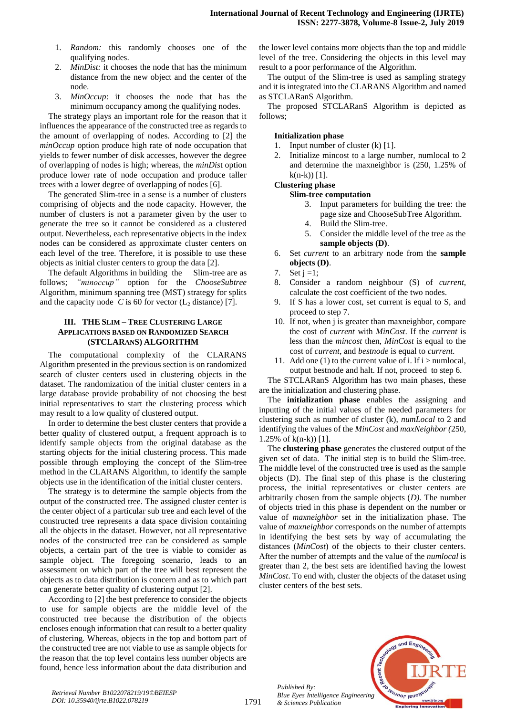- 1. *Random:* this randomly chooses one of the qualifying nodes.
- 2. *MinDist:* it chooses the node that has the minimum distance from the new object and the center of the node.
- 3. *MinOccup*: it chooses the node that has the minimum occupancy among the qualifying nodes.

The strategy plays an important role for the reason that it influences the appearance of the constructed tree as regards to the amount of overlapping of nodes. According to [2] the *minOccup* option produce high rate of node occupation that yields to fewer number of disk accesses, however the degree of overlapping of nodes is high; whereas, the *minDis*t option produce lower rate of node occupation and produce taller trees with a lower degree of overlapping of nodes [6].

The generated Slim-tree in a sense is a number of clusters comprising of objects and the node capacity. However, the number of clusters is not a parameter given by the user to generate the tree so it cannot be considered as a clustered output. Nevertheless, each representative objects in the index nodes can be considered as approximate cluster centers on each level of the tree. Therefore, it is possible to use these objects as initial cluster centers to group the data [2].

The default Algorithms in building the Slim-tree are as follows; *"minoccup"* option for the *ChooseSubtree* Algorithm, minimum spanning tree (MST) strategy for splits and the capacity node  $C$  is 60 for vector  $(L_2 \text{ distance})$  [7].

## **III. THE SLIM – TREE CLUSTERING LARGE APPLICATIONS BASED ON RANDOMIZED SEARCH (STCLARANS) ALGORITHM**

The computational complexity of the CLARANS Algorithm presented in the previous section is on randomized search of cluster centers used in clustering objects in the dataset. The randomization of the initial cluster centers in a large database provide probability of not choosing the best initial representatives to start the clustering process which may result to a low quality of clustered output.

In order to determine the best cluster centers that provide a better quality of clustered output, a frequent approach is to identify sample objects from the original database as the starting objects for the initial clustering process. This made possible through employing the concept of the Slim-tree method in the CLARANS Algorithm, to identify the sample objects use in the identification of the initial cluster centers.

The strategy is to determine the sample objects from the output of the constructed tree. The assigned cluster center is the center object of a particular sub tree and each level of the constructed tree represents a data space division containing all the objects in the dataset. However, not all representative nodes of the constructed tree can be considered as sample objects, a certain part of the tree is viable to consider as sample object. The foregoing scenario, leads to an assessment on which part of the tree will best represent the objects as to data distribution is concern and as to which part can generate better quality of clustering output [2].

According to [2] the best preference to consider the objects to use for sample objects are the middle level of the constructed tree because the distribution of the objects encloses enough information that can result to a better quality of clustering. Whereas, objects in the top and bottom part of the constructed tree are not viable to use as sample objects for the reason that the top level contains less number objects are found, hence less information about the data distribution and

the lower level contains more objects than the top and middle level of the tree. Considering the objects in this level may result to a poor performance of the Algorithm.

The output of the Slim-tree is used as sampling strategy and it is integrated into the CLARANS Algorithm and named as STCLARanS Algorithm.

The proposed STCLARanS Algorithm is depicted as follows;

## **Initialization phase**

- 1. Input number of cluster (k) [1].
- 2. Initialize mincost to a large number, numlocal to 2 and determine the maxneighbor is (250, 1.25% of  $k(n-k)$  [1].

## **Clustering phase**

### **Slim-tree computation**

- 3. Input parameters for building the tree: the page size and ChooseSubTree Algorithm.
- 4. Build the Slim-tree.
- 5. Consider the middle level of the tree as the **sample objects (D)**.
- 6. Set *current* to an arbitrary node from the **sample objects (D)**.
- 7. Set  $j = 1$ ;
- 8. Consider a random neighbour (S) of *current*, calculate the cost coefficient of the two nodes.
- 9. If S has a lower cost, set current is equal to S, and proceed to step 7.
- 10. If not, when j is greater than maxneighbor, compare the cost of *current* with *MinCost*. If the *current* is less than the *mincost* then, *MinCost* is equal to the cost of *current*, and *bestnode* is equal to *current*.
- 11. Add one (1) to the current value of i. If  $i >$  numlocal, output bestnode and halt. If not, proceed to step 6.

The STCLARanS Algorithm has two main phases, these are the initialization and clustering phase.

The **initialization phase** enables the assigning and inputting of the initial values of the needed parameters for clustering such as number of cluster (k), *numLocal* to 2 and identifying the values of the *MinCost* and *maxNeighbor (*250, 1.25% of k(n-k)) [1].

The **clustering phase** generates the clustered output of the given set of data. The initial step is to build the Slim-tree. The middle level of the constructed tree is used as the sample objects (D). The final step of this phase is the clustering process, the initial representatives or cluster centers are arbitrarily chosen from the sample objects (*D).* The number of objects tried in this phase is dependent on the number or value of *maxneighbor* set in the initialization phase. The value of *maxneighbor* corresponds on the number of attempts in identifying the best sets by way of accumulating the distances (*MinCost*) of the objects to their cluster centers. After the number of attempts and the value of the *numlocal* is greater than 2, the best sets are identified having the lowest *MinCost*. To end with, cluster the objects of the dataset using cluster centers of the best sets.



*Published By:*

*& Sciences Publication*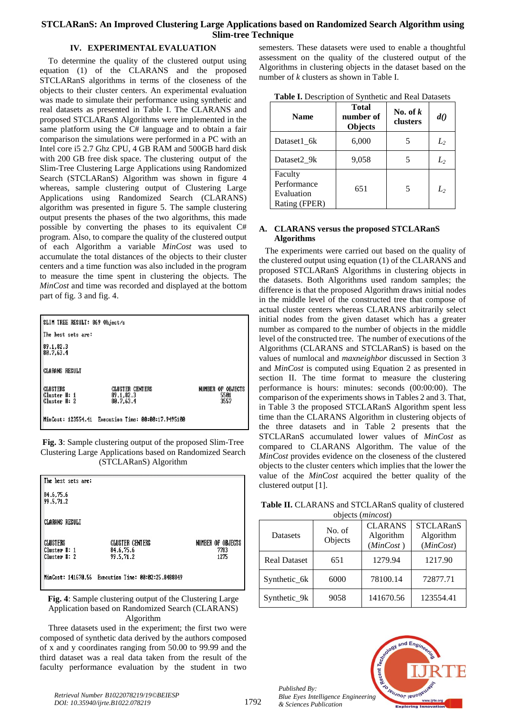# **STCLARanS: An Improved Clustering Large Applications based on Randomized Search Algorithm using Slim-tree Technique**

# **IV. EXPERIMENTAL EVALUATION**

To determine the quality of the clustered output using equation (1) of the CLARANS and the proposed STCLARanS algorithms in terms of the closeness of the objects to their cluster centers. An experimental evaluation was made to simulate their performance using synthetic and real datasets as presented in Table I. The CLARANS and proposed STCLARanS Algorithms were implemented in the same platform using the C# language and to obtain a fair comparison the simulations were performed in a PC with an Intel core i5 2.7 Ghz CPU, 4 GB RAM and 500GB hard disk with 200 GB free disk space. The clustering output of the Slim-Tree Clustering Large Applications using Randomized Search (STCLARanS) Algorithm was shown in figure 4 whereas, sample clustering output of Clustering Large Applications using Randomized Search (CLARANS) algorithm was presented in figure 5. The sample clustering output presents the phases of the two algorithms, this made possible by converting the phases to its equivalent C# program. Also, to compare the quality of the clustered output of each Algorithm a variable *MinCost* was used to accumulate the total distances of the objects to their cluster centers and a time function was also included in the program to measure the time spent in clustering the objects. The *MinCost* and time was recorded and displayed at the bottom part of fig. 3 and fig. 4.

| SLIM TREE RESULT: 869 Object/s                  |                                                     |                                   |  |
|-------------------------------------------------|-----------------------------------------------------|-----------------------------------|--|
| The best sets are:                              |                                                     |                                   |  |
| 89.1.82.3<br>80.7.63.4                          |                                                     |                                   |  |
| <b>CLARANS RESULT</b>                           |                                                     |                                   |  |
| <b>CLUSTERS</b><br>Cluster #: 1<br>Cluster #: 2 | <b>CLUSTER CENTERS</b><br>89.1.82.3<br>80.7.63.4    | NUMBER OF OBJECTS<br>5501<br>3557 |  |
|                                                 | MinCost: 123554.41 Execution Time: 00:00:17.9495100 |                                   |  |



| The best sets are:           |                                                     |                   |
|------------------------------|-----------------------------------------------------|-------------------|
| 84.6.75.6<br>  99.5,71.2     |                                                     |                   |
| <b>CLARANS RESULT</b>        |                                                     |                   |
| <b>CLUSTERS</b>              | <b>CLUSTER CENTERS</b>                              | NUMBER OF OBJECTS |
| Cluster #: 1<br>Cluster #: 2 | 84.6,75.6<br>99.5.71.2                              | 7783<br>1275      |
|                              |                                                     |                   |
|                              | MinCost: 141670.56 Execution Time: 00:02:25.8488849 |                   |

**Fig. 4**: Sample clustering output of the Clustering Large Application based on Randomized Search (CLARANS) Algorithm

Three datasets used in the experiment; the first two were composed of synthetic data derived by the authors composed of x and y coordinates ranging from 50.00 to 99.99 and the third dataset was a real data taken from the result of the faculty performance evaluation by the student in two semesters. These datasets were used to enable a thoughtful assessment on the quality of the clustered output of the Algorithms in clustering objects in the dataset based on the number of *k* clusters as shown in Table I.

| Table I. Description of Synthetic and Real Datasets |  |  |  |  |
|-----------------------------------------------------|--|--|--|--|
|-----------------------------------------------------|--|--|--|--|

| <b>Name</b>                                           | <b>Total</b><br>number of<br>Objects | No. of $k$<br>clusters | d()   |
|-------------------------------------------------------|--------------------------------------|------------------------|-------|
| Dataset1 6k                                           | 6,000                                |                        | $L_2$ |
| Dataset2 9k                                           | 9,058                                |                        | $L_2$ |
| Faculty<br>Performance<br>Evaluation<br>Rating (FPER) | 651                                  | 5                      | L,    |

# **A. CLARANS versus the proposed STCLARanS Algorithms**

The experiments were carried out based on the quality of the clustered output using equation (1) of the CLARANS and proposed STCLARanS Algorithms in clustering objects in the datasets. Both Algorithms used random samples; the difference is that the proposed Algorithm draws initial nodes in the middle level of the constructed tree that compose of actual cluster centers whereas CLARANS arbitrarily select initial nodes from the given dataset which has a greater number as compared to the number of objects in the middle level of the constructed tree. The number of executions of the Algorithms (CLARANS and STCLARanS) is based on the values of numlocal and *maxneighbor* discussed in Section 3 and *MinCost* is computed using Equation 2 as presented in section II. The time format to measure the clustering performance is hours: minutes: seconds (00:00:00). The comparison of the experiments shows in Tables 2 and 3. That, in Table 3 the proposed STCLARanS Algorithm spent less time than the CLARANS Algorithm in clustering objects of the three datasets and in Table 2 presents that the STCLARanS accumulated lower values of *MinCost* as compared to CLARANS Algorithm. The value of the *MinCost* provides evidence on the closeness of the clustered objects to the cluster centers which implies that the lower the value of the *MinCost* acquired the better quality of the clustered output [1].

| ODJECTS ( <i>muncosi</i> ) |                   |                                          |                                            |  |
|----------------------------|-------------------|------------------------------------------|--------------------------------------------|--|
| <b>Datasets</b>            | No. of<br>Objects | <b>CLARANS</b><br>Algorithm<br>(MinCost) | <b>STCLARanS</b><br>Algorithm<br>(MinCost) |  |
| <b>Real Dataset</b>        | 651               | 1279.94                                  | 1217.90                                    |  |
| Synthetic_6k               | 6000              | 78100.14                                 | 72877.71                                   |  |
| Synthetic 9k               | 9058              | 141670.56                                | 123554.41                                  |  |

**Table II.** CLARANS and STCLARanS quality of clustered objects (*mincost*)



*Published By: Blue Eyes Intelligence Engineering & Sciences Publication*